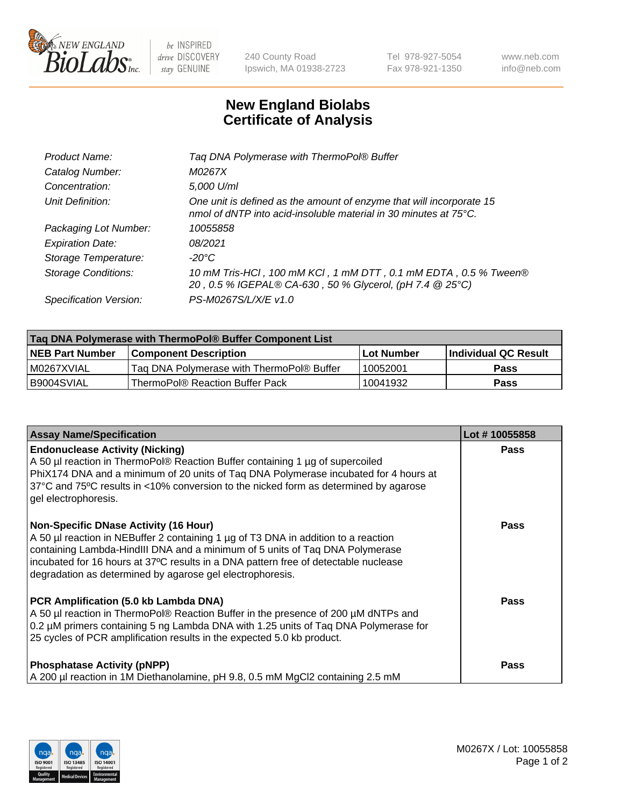

be INSPIRED drive DISCOVERY stay GENUINE

240 County Road Ipswich, MA 01938-2723 Tel 978-927-5054 Fax 978-921-1350 www.neb.com info@neb.com

## **New England Biolabs Certificate of Analysis**

| Tag DNA Polymerase with ThermoPol® Buffer                                                                                                |
|------------------------------------------------------------------------------------------------------------------------------------------|
| M0267X                                                                                                                                   |
| 5,000 U/ml                                                                                                                               |
| One unit is defined as the amount of enzyme that will incorporate 15<br>nmol of dNTP into acid-insoluble material in 30 minutes at 75°C. |
| 10055858                                                                                                                                 |
| 08/2021                                                                                                                                  |
| $-20^{\circ}$ C                                                                                                                          |
| 10 mM Tris-HCl, 100 mM KCl, 1 mM DTT, 0.1 mM EDTA, 0.5 % Tween®<br>20, 0.5 % IGEPAL® CA-630, 50 % Glycerol, (pH 7.4 @ 25°C)              |
| PS-M0267S/L/X/E v1.0                                                                                                                     |
|                                                                                                                                          |

| Tag DNA Polymerase with ThermoPol® Buffer Component List |                                           |                   |                      |  |
|----------------------------------------------------------|-------------------------------------------|-------------------|----------------------|--|
| <b>NEB Part Number</b>                                   | <b>Component Description</b>              | <b>Lot Number</b> | Individual QC Result |  |
| I M0267XVIAL                                             | Tag DNA Polymerase with ThermoPol® Buffer | 10052001          | Pass                 |  |
| B9004SVIAL                                               | ThermoPol® Reaction Buffer Pack           | 10041932          | Pass                 |  |

| <b>Assay Name/Specification</b>                                                                                                                                                                                                                                                                                                                                        | Lot #10055858 |
|------------------------------------------------------------------------------------------------------------------------------------------------------------------------------------------------------------------------------------------------------------------------------------------------------------------------------------------------------------------------|---------------|
| <b>Endonuclease Activity (Nicking)</b><br>A 50 µl reaction in ThermoPol® Reaction Buffer containing 1 µg of supercoiled<br>PhiX174 DNA and a minimum of 20 units of Taq DNA Polymerase incubated for 4 hours at<br>37°C and 75°C results in <10% conversion to the nicked form as determined by agarose<br>gel electrophoresis.                                        | <b>Pass</b>   |
| <b>Non-Specific DNase Activity (16 Hour)</b><br>A 50 µl reaction in NEBuffer 2 containing 1 µg of T3 DNA in addition to a reaction<br>containing Lambda-HindIII DNA and a minimum of 5 units of Taq DNA Polymerase<br>incubated for 16 hours at 37°C results in a DNA pattern free of detectable nuclease<br>degradation as determined by agarose gel electrophoresis. | <b>Pass</b>   |
| PCR Amplification (5.0 kb Lambda DNA)<br>A 50 µl reaction in ThermoPol® Reaction Buffer in the presence of 200 µM dNTPs and<br>0.2 µM primers containing 5 ng Lambda DNA with 1.25 units of Taq DNA Polymerase for<br>25 cycles of PCR amplification results in the expected 5.0 kb product.                                                                           | Pass          |
| <b>Phosphatase Activity (pNPP)</b><br>A 200 µl reaction in 1M Diethanolamine, pH 9.8, 0.5 mM MgCl2 containing 2.5 mM                                                                                                                                                                                                                                                   | <b>Pass</b>   |